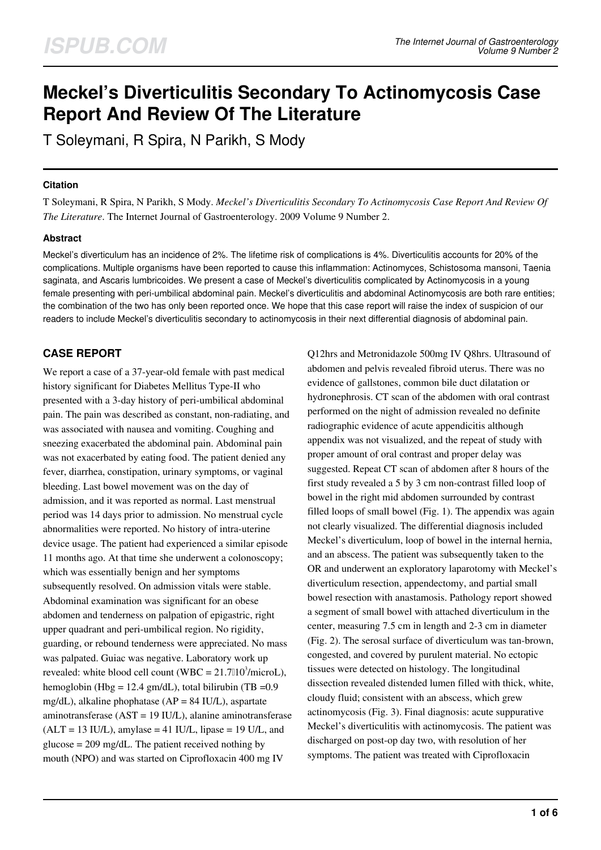# **Meckel's Diverticulitis Secondary To Actinomycosis Case Report And Review Of The Literature**

T Soleymani, R Spira, N Parikh, S Mody

#### **Citation**

T Soleymani, R Spira, N Parikh, S Mody. *Meckel's Diverticulitis Secondary To Actinomycosis Case Report And Review Of The Literature*. The Internet Journal of Gastroenterology. 2009 Volume 9 Number 2.

# **Abstract**

Meckel's diverticulum has an incidence of 2%. The lifetime risk of complications is 4%. Diverticulitis accounts for 20% of the complications. Multiple organisms have been reported to cause this inflammation: Actinomyces, Schistosoma mansoni, Taenia saginata, and Ascaris lumbricoides. We present a case of Meckel's diverticulitis complicated by Actinomycosis in a young female presenting with peri-umbilical abdominal pain. Meckel's diverticulitis and abdominal Actinomycosis are both rare entities; the combination of the two has only been reported once. We hope that this case report will raise the index of suspicion of our readers to include Meckel's diverticulitis secondary to actinomycosis in their next differential diagnosis of abdominal pain.

# **CASE REPORT**

We report a case of a 37-year-old female with past medical history significant for Diabetes Mellitus Type-II who presented with a 3-day history of peri-umbilical abdominal pain. The pain was described as constant, non-radiating, and was associated with nausea and vomiting. Coughing and sneezing exacerbated the abdominal pain. Abdominal pain was not exacerbated by eating food. The patient denied any fever, diarrhea, constipation, urinary symptoms, or vaginal bleeding. Last bowel movement was on the day of admission, and it was reported as normal. Last menstrual period was 14 days prior to admission. No menstrual cycle abnormalities were reported. No history of intra-uterine device usage. The patient had experienced a similar episode 11 months ago. At that time she underwent a colonoscopy; which was essentially benign and her symptoms subsequently resolved. On admission vitals were stable. Abdominal examination was significant for an obese abdomen and tenderness on palpation of epigastric, right upper quadrant and peri-umbilical region. No rigidity, guarding, or rebound tenderness were appreciated. No mass was palpated. Guiac was negative. Laboratory work up revealed: white blood cell count (WBC =  $21.7010^3/microl$ ), hemoglobin (Hbg = 12.4 gm/dL), total bilirubin (TB =  $0.9$ ) mg/dL), alkaline phophatase ( $AP = 84$  IU/L), aspartate aminotransferase (AST = 19 IU/L), alanine aminotransferase  $(ALT = 13 \text{ IU/L})$ , amylase = 41 IU/L, lipase = 19 U/L, and glucose  $= 209 \text{ mg/dL}$ . The patient received nothing by mouth (NPO) and was started on Ciprofloxacin 400 mg IV

Q12hrs and Metronidazole 500mg IV Q8hrs. Ultrasound of abdomen and pelvis revealed fibroid uterus. There was no evidence of gallstones, common bile duct dilatation or hydronephrosis. CT scan of the abdomen with oral contrast performed on the night of admission revealed no definite radiographic evidence of acute appendicitis although appendix was not visualized, and the repeat of study with proper amount of oral contrast and proper delay was suggested. Repeat CT scan of abdomen after 8 hours of the first study revealed a 5 by 3 cm non-contrast filled loop of bowel in the right mid abdomen surrounded by contrast filled loops of small bowel (Fig. 1). The appendix was again not clearly visualized. The differential diagnosis included Meckel's diverticulum, loop of bowel in the internal hernia, and an abscess. The patient was subsequently taken to the OR and underwent an exploratory laparotomy with Meckel's diverticulum resection, appendectomy, and partial small bowel resection with anastamosis. Pathology report showed a segment of small bowel with attached diverticulum in the center, measuring 7.5 cm in length and 2-3 cm in diameter (Fig. 2). The serosal surface of diverticulum was tan-brown, congested, and covered by purulent material. No ectopic tissues were detected on histology. The longitudinal dissection revealed distended lumen filled with thick, white, cloudy fluid; consistent with an abscess, which grew actinomycosis (Fig. 3). Final diagnosis: acute suppurative Meckel's diverticulitis with actinomycosis. The patient was discharged on post-op day two, with resolution of her symptoms. The patient was treated with Ciprofloxacin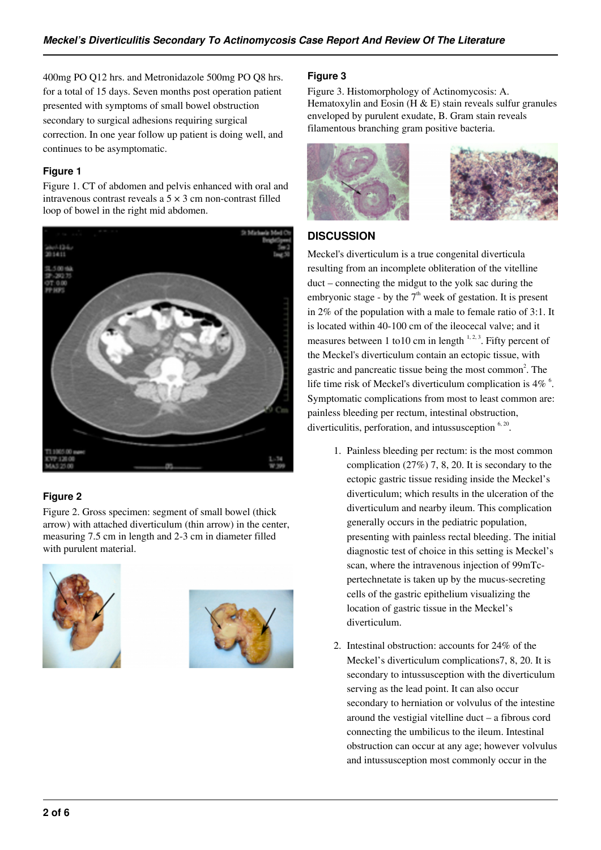400mg PO Q12 hrs. and Metronidazole 500mg PO Q8 hrs. for a total of 15 days. Seven months post operation patient presented with symptoms of small bowel obstruction secondary to surgical adhesions requiring surgical correction. In one year follow up patient is doing well, and continues to be asymptomatic.

### **Figure 1**

Figure 1. CT of abdomen and pelvis enhanced with oral and intravenous contrast reveals a  $5 \times 3$  cm non-contrast filled loop of bowel in the right mid abdomen.



# **Figure 2**

Figure 2. Gross specimen: segment of small bowel (thick arrow) with attached diverticulum (thin arrow) in the center, measuring 7.5 cm in length and 2-3 cm in diameter filled with purulent material.





#### **Figure 3**

Figure 3. Histomorphology of Actinomycosis: A. Hematoxylin and Eosin (H  $\&$  E) stain reveals sulfur granules enveloped by purulent exudate, B. Gram stain reveals filamentous branching gram positive bacteria.





# **DISCUSSION**

Meckel's diverticulum is a true congenital diverticula resulting from an incomplete obliteration of the vitelline duct – connecting the midgut to the yolk sac during the embryonic stage - by the  $7<sup>th</sup>$  week of gestation. It is present in 2% of the population with a male to female ratio of 3:1. It is located within 40-100 cm of the ileocecal valve; and it measures between 1 to 10 cm in length  $1, 2, 3$ . Fifty percent of the Meckel's diverticulum contain an ectopic tissue, with gastric and pancreatic tissue being the most common<sup>2</sup>. The life time risk of Meckel's diverticulum complication is  $4\%$ <sup>6</sup>. Symptomatic complications from most to least common are: painless bleeding per rectum, intestinal obstruction, diverticulitis, perforation, and intussusception <sup>6, 20</sup>.

- 1. Painless bleeding per rectum: is the most common complication (27%) 7, 8, 20. It is secondary to the ectopic gastric tissue residing inside the Meckel's diverticulum; which results in the ulceration of the diverticulum and nearby ileum. This complication generally occurs in the pediatric population, presenting with painless rectal bleeding. The initial diagnostic test of choice in this setting is Meckel's scan, where the intravenous injection of 99mTcpertechnetate is taken up by the mucus-secreting cells of the gastric epithelium visualizing the location of gastric tissue in the Meckel's diverticulum.
- 2. Intestinal obstruction: accounts for 24% of the Meckel's diverticulum complications7, 8, 20. It is secondary to intussusception with the diverticulum serving as the lead point. It can also occur secondary to herniation or volvulus of the intestine around the vestigial vitelline duct – a fibrous cord connecting the umbilicus to the ileum. Intestinal obstruction can occur at any age; however volvulus and intussusception most commonly occur in the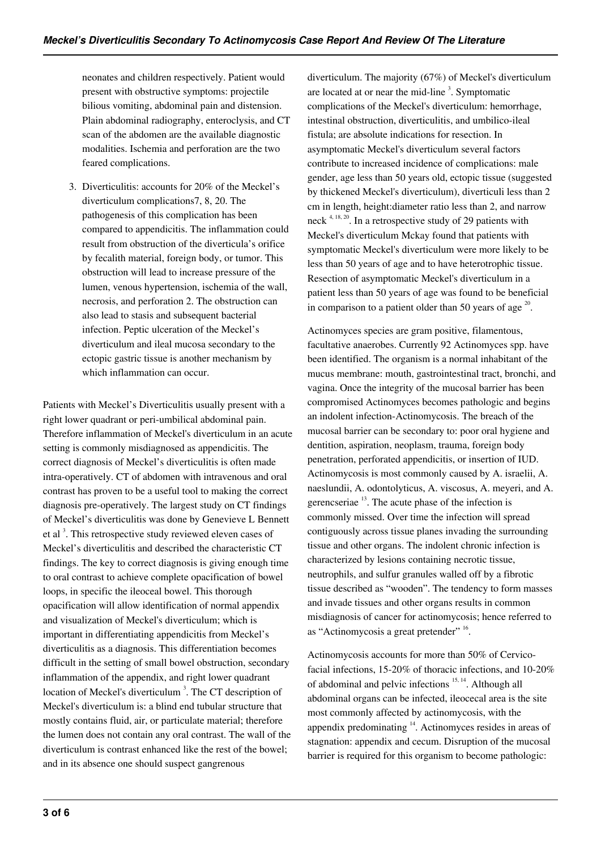neonates and children respectively. Patient would present with obstructive symptoms: projectile bilious vomiting, abdominal pain and distension. Plain abdominal radiography, enteroclysis, and CT scan of the abdomen are the available diagnostic modalities. Ischemia and perforation are the two feared complications.

3. Diverticulitis: accounts for 20% of the Meckel's diverticulum complications7, 8, 20. The pathogenesis of this complication has been compared to appendicitis. The inflammation could result from obstruction of the diverticula's orifice by fecalith material, foreign body, or tumor. This obstruction will lead to increase pressure of the lumen, venous hypertension, ischemia of the wall, necrosis, and perforation 2. The obstruction can also lead to stasis and subsequent bacterial infection. Peptic ulceration of the Meckel's diverticulum and ileal mucosa secondary to the ectopic gastric tissue is another mechanism by which inflammation can occur.

Patients with Meckel's Diverticulitis usually present with a right lower quadrant or peri-umbilical abdominal pain. Therefore inflammation of Meckel's diverticulum in an acute setting is commonly misdiagnosed as appendicitis. The correct diagnosis of Meckel's diverticulitis is often made intra-operatively. CT of abdomen with intravenous and oral contrast has proven to be a useful tool to making the correct diagnosis pre-operatively. The largest study on CT findings of Meckel's diverticulitis was done by Genevieve L Bennett et al<sup>3</sup>. This retrospective study reviewed eleven cases of Meckel's diverticulitis and described the characteristic CT findings. The key to correct diagnosis is giving enough time to oral contrast to achieve complete opacification of bowel loops, in specific the ileoceal bowel. This thorough opacification will allow identification of normal appendix and visualization of Meckel's diverticulum; which is important in differentiating appendicitis from Meckel's diverticulitis as a diagnosis. This differentiation becomes difficult in the setting of small bowel obstruction, secondary inflammation of the appendix, and right lower quadrant location of Meckel's diverticulum<sup>3</sup>. The CT description of Meckel's diverticulum is: a blind end tubular structure that mostly contains fluid, air, or particulate material; therefore the lumen does not contain any oral contrast. The wall of the diverticulum is contrast enhanced like the rest of the bowel; and in its absence one should suspect gangrenous

diverticulum. The majority (67%) of Meckel's diverticulum are located at or near the mid-line<sup>3</sup>. Symptomatic complications of the Meckel's diverticulum: hemorrhage, intestinal obstruction, diverticulitis, and umbilico-ileal fistula; are absolute indications for resection. In asymptomatic Meckel's diverticulum several factors contribute to increased incidence of complications: male gender, age less than 50 years old, ectopic tissue (suggested by thickened Meckel's diverticulum), diverticuli less than 2 cm in length, height:diameter ratio less than 2, and narrow neck  $4, 18, 20$ . In a retrospective study of 29 patients with Meckel's diverticulum Mckay found that patients with symptomatic Meckel's diverticulum were more likely to be less than 50 years of age and to have heterotrophic tissue. Resection of asymptomatic Meckel's diverticulum in a patient less than 50 years of age was found to be beneficial in comparison to a patient older than 50 years of age  $^{20}$ .

Actinomyces species are gram positive, filamentous, facultative anaerobes. Currently 92 Actinomyces spp. have been identified. The organism is a normal inhabitant of the mucus membrane: mouth, gastrointestinal tract, bronchi, and vagina. Once the integrity of the mucosal barrier has been compromised Actinomyces becomes pathologic and begins an indolent infection-Actinomycosis. The breach of the mucosal barrier can be secondary to: poor oral hygiene and dentition, aspiration, neoplasm, trauma, foreign body penetration, perforated appendicitis, or insertion of IUD. Actinomycosis is most commonly caused by A. israelii, A. naeslundii, A. odontolyticus, A. viscosus, A. meyeri, and A. gerencseriae  $13$ . The acute phase of the infection is commonly missed. Over time the infection will spread contiguously across tissue planes invading the surrounding tissue and other organs. The indolent chronic infection is characterized by lesions containing necrotic tissue, neutrophils, and sulfur granules walled off by a fibrotic tissue described as "wooden". The tendency to form masses and invade tissues and other organs results in common misdiagnosis of cancer for actinomycosis; hence referred to as "Actinomycosis a great pretender" 16.

Actinomycosis accounts for more than 50% of Cervicofacial infections, 15-20% of thoracic infections, and 10-20% of abdominal and pelvic infections 15, 14. Although all abdominal organs can be infected, ileocecal area is the site most commonly affected by actinomycosis, with the appendix predominating <sup>14</sup>. Actinomyces resides in areas of stagnation: appendix and cecum. Disruption of the mucosal barrier is required for this organism to become pathologic: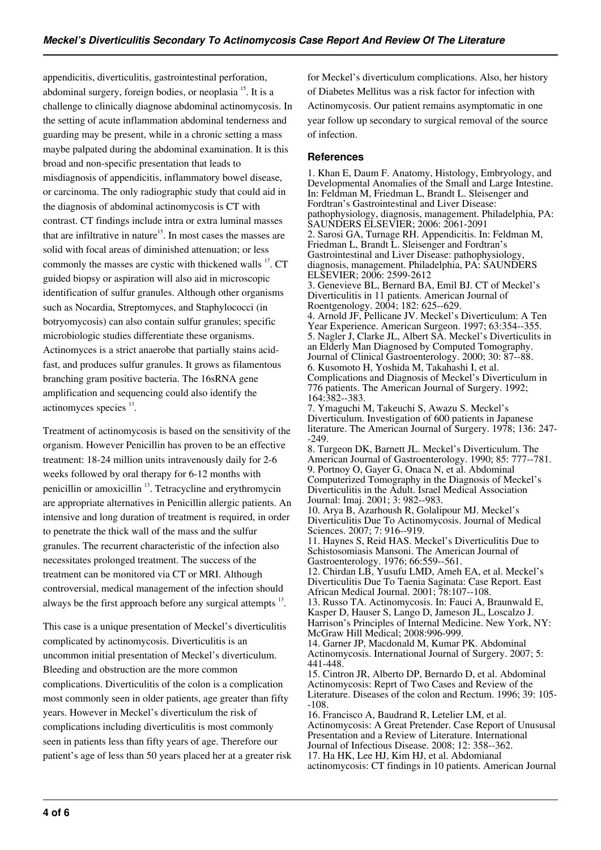appendicitis, diverticulitis, gastrointestinal perforation, abdominal surgery, foreign bodies, or neoplasia<sup>15</sup>. It is a challenge to clinically diagnose abdominal actinomycosis. In the setting of acute inflammation abdominal tenderness and guarding may be present, while in a chronic setting a mass maybe palpated during the abdominal examination. It is this broad and non-specific presentation that leads to misdiagnosis of appendicitis, inflammatory bowel disease, or carcinoma. The only radiographic study that could aid in the diagnosis of abdominal actinomycosis is CT with contrast. CT findings include intra or extra luminal masses that are infiltrative in nature<sup> $15$ </sup>. In most cases the masses are solid with focal areas of diminished attenuation; or less commonly the masses are cystic with thickened walls <sup>17</sup>. CT guided biopsy or aspiration will also aid in microscopic identification of sulfur granules. Although other organisms such as Nocardia, Streptomyces, and Staphylococci (in botryomycosis) can also contain sulfur granules; specific microbiologic studies differentiate these organisms. Actinomyces is a strict anaerobe that partially stains acidfast, and produces sulfur granules. It grows as filamentous branching gram positive bacteria. The 16sRNA gene amplification and sequencing could also identify the actinomyces species <sup>13</sup>.

Treatment of actinomycosis is based on the sensitivity of the organism. However Penicillin has proven to be an effective treatment: 18-24 million units intravenously daily for 2-6 weeks followed by oral therapy for 6-12 months with penicillin or amoxicillin <sup>13</sup>. Tetracycline and erythromycin are appropriate alternatives in Penicillin allergic patients. An intensive and long duration of treatment is required, in order to penetrate the thick wall of the mass and the sulfur granules. The recurrent characteristic of the infection also necessitates prolonged treatment. The success of the treatment can be monitored via CT or MRI. Although controversial, medical management of the infection should always be the first approach before any surgical attempts  $13$ .

This case is a unique presentation of Meckel's diverticulitis complicated by actinomycosis. Diverticulitis is an uncommon initial presentation of Meckel's diverticulum. Bleeding and obstruction are the more common complications. Diverticulitis of the colon is a complication most commonly seen in older patients, age greater than fifty years. However in Meckel's diverticulum the risk of complications including diverticulitis is most commonly seen in patients less than fifty years of age. Therefore our patient's age of less than 50 years placed her at a greater risk for Meckel's diverticulum complications. Also, her history of Diabetes Mellitus was a risk factor for infection with Actinomycosis. Our patient remains asymptomatic in one year follow up secondary to surgical removal of the source of infection.

#### **References**

1. Khan E, Daum F. Anatomy, Histology, Embryology, and Developmental Anomalies of the Small and Large Intestine. In: Feldman M, Friedman L, Brandt L. Sleisenger and Fordtran's Gastrointestinal and Liver Disease: pathophysiology, diagnosis, management. Philadelphia, PA: SAUNDERS ELSEVIER; 2006: 2061-2091 2. Sarosi GA, Turnage RH. Appendicitis. In: Feldman M, Friedman L, Brandt L. Sleisenger and Fordtran's Gastrointestinal and Liver Disease: pathophysiology, diagnosis, management. Philadelphia, PA: SAUNDERS ELSEVIER; 2006: 2599-2612 3. Genevieve BL, Bernard BA, Emil BJ. CT of Meckel's Diverticulitis in 11 patients. American Journal of Roentgenology. 2004; 182: 625--629. 4. Arnold JF, Pellicane JV. Meckel's Diverticulum: A Ten Year Experience. American Surgeon. 1997; 63:354--355. 5. Nagler J, Clarke JL, Albert SA. Meckel's Diverticulits in an Elderly Man Diagnosed by Computed Tomography. Journal of Clinical Gastroenterology. 2000; 30: 87--88. 6. Kusomoto H, Yoshida M, Takahashi I, et al. Complications and Diagnosis of Meckel's Diverticulum in 776 patients. The American Journal of Surgery. 1992; 164:382--383. 7. Ymaguchi M, Takeuchi S, Awazu S. Meckel's Diverticulum. Investigation of 600 patients in Japanese literature. The American Journal of Surgery. 1978; 136: 247- -249. 8. Turgeon DK, Barnett JL. Meckel's Diverticulum. The American Journal of Gastroenterology. 1990; 85: 777--781. 9. Portnoy O, Gayer G, Onaca N, et al. Abdominal Computerized Tomography in the Diagnosis of Meckel's Diverticulitis in the Adult. Israel Medical Association Journal: Imaj. 2001; 3: 982--983. 10. Arya B, Azarhoush R, Golalipour MJ. Meckel's Diverticulitis Due To Actinomycosis. Journal of Medical Sciences. 2007; 7: 916--919. 11. Haynes S, Reid HAS. Meckel's Diverticulitis Due to Schistosomiasis Mansoni. The American Journal of Gastroenterology. 1976; 66:559--561. 12. Chirdan LB, Yusufu LMD, Ameh EA, et al. Meckel's

Diverticulitis Due To Taenia Saginata: Case Report. East African Medical Journal. 2001; 78:107--108. 13. Russo TA. Actinomycosis. In: Fauci A, Braunwald E, Kasper D, Hauser S, Lango D, Jameson JL, Loscalzo J.

Harrison's Principles of Internal Medicine. New York, NY: McGraw Hill Medical; 2008:996-999.

14. Garner JP, Macdonald M, Kumar PK. Abdominal Actinomycosis. International Journal of Surgery. 2007; 5: 441-448.

15. Cintron JR, Alberto DP, Bernardo D, et al. Abdominal Actinomycosis: Reprt of Two Cases and Review of the Literature. Diseases of the colon and Rectum. 1996; 39: 105- -108.

16. Francisco A, Baudrand R, Letelier LM, et al. Actinomycosis: A Great Pretender. Case Report of Unususal Presentation and a Review of Literature. International Journal of Infectious Disease. 2008; 12: 358--362. 17. Ha HK, Lee HJ, Kim HJ, et al. Abdomianal

actinomycosis: CT findings in 10 patients. American Journal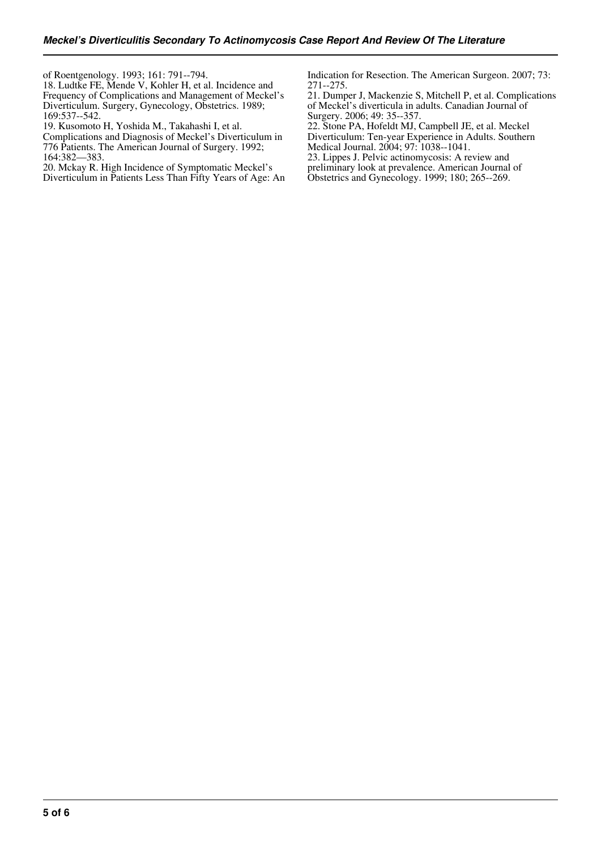of Roentgenology. 1993; 161: 791--794.

18. Ludtke FE, Mende V, Kohler H, et al. Incidence and Frequency of Complications and Management of Meckel's Diverticulum. Surgery, Gynecology, Obstetrics. 1989; 169:537--542.

19. Kusomoto H, Yoshida M., Takahashi I, et al.

Complications and Diagnosis of Meckel's Diverticulum in 776 Patients. The American Journal of Surgery. 1992; 164:382—383.

20. Mckay R. High Incidence of Symptomatic Meckel's Diverticulum in Patients Less Than Fifty Years of Age: An Indication for Resection. The American Surgeon. 2007; 73: 271--275.

21. Dumper J, Mackenzie S, Mitchell P, et al. Complications of Meckel's diverticula in adults. Canadian Journal of Surgery. 2006; 49: 35--357.

22. Stone PA, Hofeldt MJ, Campbell JE, et al. Meckel Diverticulum: Ten-year Experience in Adults. Southern Medical Journal. 2004; 97: 1038--1041.

23. Lippes J. Pelvic actinomycosis: A review and preliminary look at prevalence. American Journal of Obstetrics and Gynecology. 1999; 180; 265--269.